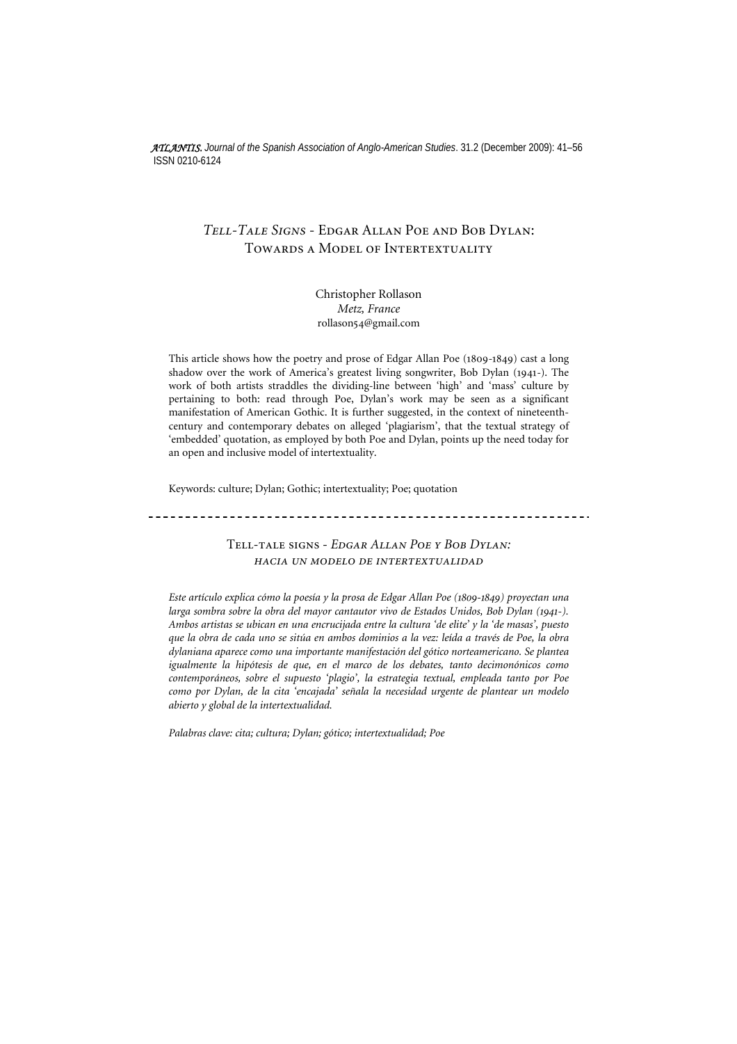*ATLANTIS. Journal of the Spanish Association of Anglo-American Studies*. 31.2 (December 2009): 41–56 ISSN 0210-6124

# *Tell-Tale Signs* - Edgar Allan Poe and Bob Dylan: TOWARDS A MODEL OF INTERTEXTUALITY

Christopher Rollason *Metz, France*  rollason54@gmail.com

This article shows how the poetry and prose of Edgar Allan Poe (1809-1849) cast a long shadow over the work of America's greatest living songwriter, Bob Dylan (1941-). The work of both artists straddles the dividing-line between 'high' and 'mass' culture by pertaining to both: read through Poe, Dylan's work may be seen as a significant manifestation of American Gothic. It is further suggested, in the context of nineteenthcentury and contemporary debates on alleged 'plagiarism', that the textual strategy of 'embedded' quotation, as employed by both Poe and Dylan, points up the need today for an open and inclusive model of intertextuality.

Keywords: culture; Dylan; Gothic; intertextuality; Poe; quotation

Tell-tale signs *- Edgar Allan Poe y Bob Dylan: hacia un modelo de intertextualidad* 

*Este artículo explica cómo la poesía y la prosa de Edgar Allan Poe (1809-1849) proyectan una larga sombra sobre la obra del mayor cantautor vivo de Estados Unidos, Bob Dylan (1941-). Ambos artistas se ubican en una encrucijada entre la cultura 'de elite' y la 'de masas', puesto que la obra de cada uno se sitúa en ambos dominios a la vez: leída a través de Poe, la obra dylaniana aparece como una importante manifestación del gótico norteamericano. Se plantea igualmente la hipótesis de que, en el marco de los debates, tanto decimonónicos como contemporáneos, sobre el supuesto 'plagio', la estrategia textual, empleada tanto por Poe como por Dylan, de la cita 'encajada' señala la necesidad urgente de plantear un modelo abierto y global de la intertextualidad.* 

*Palabras clave: cita; cultura; Dylan; gótico; intertextualidad; Poe*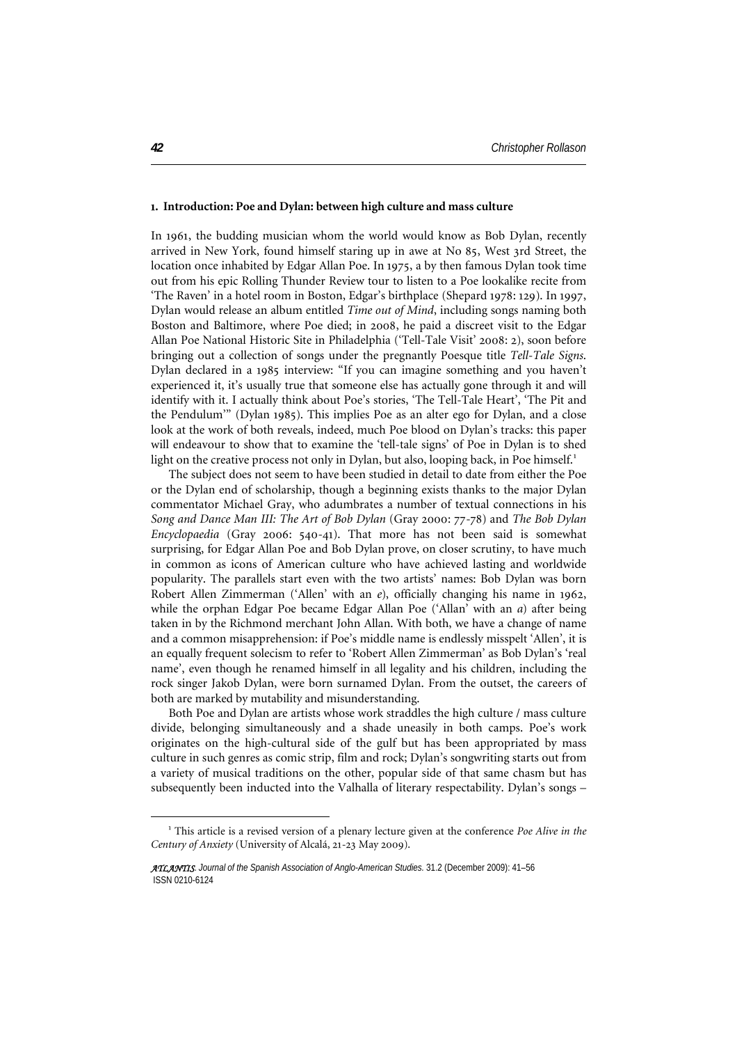#### **1. Introduction: Poe and Dylan: between high culture and mass culture**

In 1961, the budding musician whom the world would know as Bob Dylan, recently arrived in New York, found himself staring up in awe at No 85, West 3rd Street, the location once inhabited by Edgar Allan Poe. In 1975, a by then famous Dylan took time out from his epic Rolling Thunder Review tour to listen to a Poe lookalike recite from 'The Raven' in a hotel room in Boston, Edgar's birthplace (Shepard 1978: 129). In 1997, Dylan would release an album entitled *Time out of Mind*, including songs naming both Boston and Baltimore, where Poe died; in 2008, he paid a discreet visit to the Edgar Allan Poe National Historic Site in Philadelphia ('Tell-Tale Visit' 2008: 2), soon before bringing out a collection of songs under the pregnantly Poesque title *Tell-Tale Signs*. Dylan declared in a 1985 interview: "If you can imagine something and you haven't experienced it, it's usually true that someone else has actually gone through it and will identify with it. I actually think about Poe's stories, 'The Tell-Tale Heart', 'The Pit and the Pendulum'" (Dylan 1985). This implies Poe as an alter ego for Dylan, and a close look at the work of both reveals, indeed, much Poe blood on Dylan's tracks: this paper will endeavour to show that to examine the 'tell-tale signs' of Poe in Dylan is to shed light on the creative process not only in Dylan, but also, looping back, in Poe himself.<sup>[1](#page-1-0)</sup>

The subject does not seem to have been studied in detail to date from either the Poe or the Dylan end of scholarship, though a beginning exists thanks to the major Dylan commentator Michael Gray, who adumbrates a number of textual connections in his *Song and Dance Man III: The Art of Bob Dylan* (Gray 2000: 77-78) and *The Bob Dylan Encyclopaedia* (Gray 2006: 540-41). That more has not been said is somewhat surprising, for Edgar Allan Poe and Bob Dylan prove, on closer scrutiny, to have much in common as icons of American culture who have achieved lasting and worldwide popularity. The parallels start even with the two artists' names: Bob Dylan was born Robert Allen Zimmerman ('Allen' with an *e*), officially changing his name in 1962, while the orphan Edgar Poe became Edgar Allan Poe ('Allan' with an *a*) after being taken in by the Richmond merchant John Allan. With both, we have a change of name and a common misapprehension: if Poe's middle name is endlessly misspelt 'Allen', it is an equally frequent solecism to refer to 'Robert Allen Zimmerman' as Bob Dylan's 'real name', even though he renamed himself in all legality and his children, including the rock singer Jakob Dylan, were born surnamed Dylan. From the outset, the careers of both are marked by mutability and misunderstanding.

Both Poe and Dylan are artists whose work straddles the high culture / mass culture divide, belonging simultaneously and a shade uneasily in both camps. Poe's work originates on the high-cultural side of the gulf but has been appropriated by mass culture in such genres as comic strip, film and rock; Dylan's songwriting starts out from a variety of musical traditions on the other, popular side of that same chasm but has subsequently been inducted into the Valhalla of literary respectability. Dylan's songs –

<span id="page-1-0"></span><sup>1</sup> This article is a revised version of a plenary lecture given at the conference *Poe Alive in the Century of Anxiety* (University of Alcalá, 21-23 May 2009).

*ATLANTIS*. *Journal of the Spanish Association of Anglo-American Studies.* 31.2 (December 2009): 41–56 ISSN 0210-6124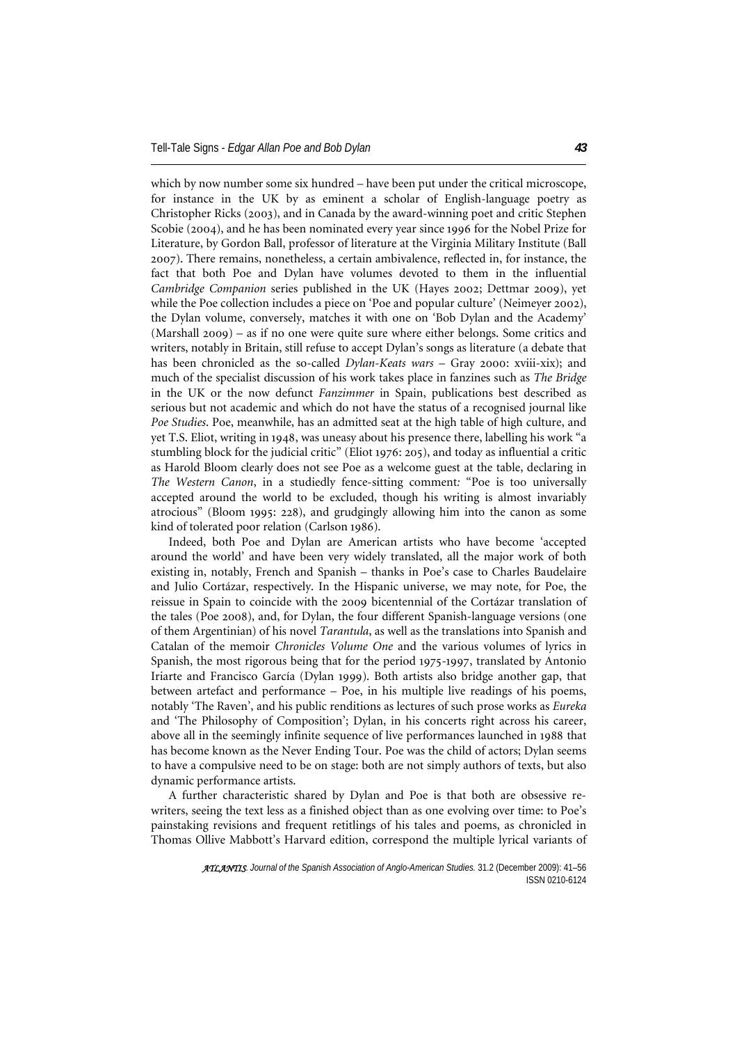which by now number some six hundred – have been put under the critical microscope, for instance in the UK by as eminent a scholar of English-language poetry as Christopher Ricks (2003), and in Canada by the award-winning poet and critic Stephen Scobie (2004), and he has been nominated every year since 1996 for the Nobel Prize for Literature, by Gordon Ball, professor of literature at the Virginia Military Institute (Ball 2007). There remains, nonetheless, a certain ambivalence, reflected in, for instance, the fact that both Poe and Dylan have volumes devoted to them in the influential *Cambridge Companion* series published in the UK (Hayes 2002; Dettmar 2009), yet while the Poe collection includes a piece on 'Poe and popular culture' (Neimeyer 2002), the Dylan volume, conversely, matches it with one on 'Bob Dylan and the Academy' (Marshall 2009) – as if no one were quite sure where either belongs. Some critics and writers, notably in Britain, still refuse to accept Dylan's songs as literature (a debate that has been chronicled as the so-called *Dylan-Keats wars* – Gray 2000: xviii-xix); and much of the specialist discussion of his work takes place in fanzines such as *The Bridge* in the UK or the now defunct *Fanzimmer* in Spain, publications best described as serious but not academic and which do not have the status of a recognised journal like *Poe Studies*. Poe, meanwhile, has an admitted seat at the high table of high culture, and yet T.S. Eliot, writing in 1948, was uneasy about his presence there, labelling his work "a stumbling block for the judicial critic" (Eliot 1976: 205), and today as influential a critic as Harold Bloom clearly does not see Poe as a welcome guest at the table, declaring in *The Western Canon*, in a studiedly fence-sitting comment*:* "Poe is too universally accepted around the world to be excluded, though his writing is almost invariably atrocious" (Bloom 1995: 228), and grudgingly allowing him into the canon as some kind of tolerated poor relation (Carlson 1986).

Indeed, both Poe and Dylan are American artists who have become 'accepted around the world' and have been very widely translated, all the major work of both existing in, notably, French and Spanish – thanks in Poe's case to Charles Baudelaire and Julio Cortázar, respectively. In the Hispanic universe, we may note, for Poe, the reissue in Spain to coincide with the 2009 bicentennial of the Cortázar translation of the tales (Poe 2008), and, for Dylan, the four different Spanish-language versions (one of them Argentinian) of his novel *Tarantula*, as well as the translations into Spanish and Catalan of the memoir *Chronicles Volume One* and the various volumes of lyrics in Spanish, the most rigorous being that for the period 1975-1997, translated by Antonio Iriarte and Francisco García (Dylan 1999). Both artists also bridge another gap, that between artefact and performance – Poe, in his multiple live readings of his poems, notably 'The Raven', and his public renditions as lectures of such prose works as *Eureka* and 'The Philosophy of Composition'; Dylan, in his concerts right across his career, above all in the seemingly infinite sequence of live performances launched in 1988 that has become known as the Never Ending Tour. Poe was the child of actors; Dylan seems to have a compulsive need to be on stage: both are not simply authors of texts, but also dynamic performance artists.

A further characteristic shared by Dylan and Poe is that both are obsessive rewriters, seeing the text less as a finished object than as one evolving over time: to Poe's painstaking revisions and frequent retitlings of his tales and poems, as chronicled in Thomas Ollive Mabbott's Harvard edition, correspond the multiple lyrical variants of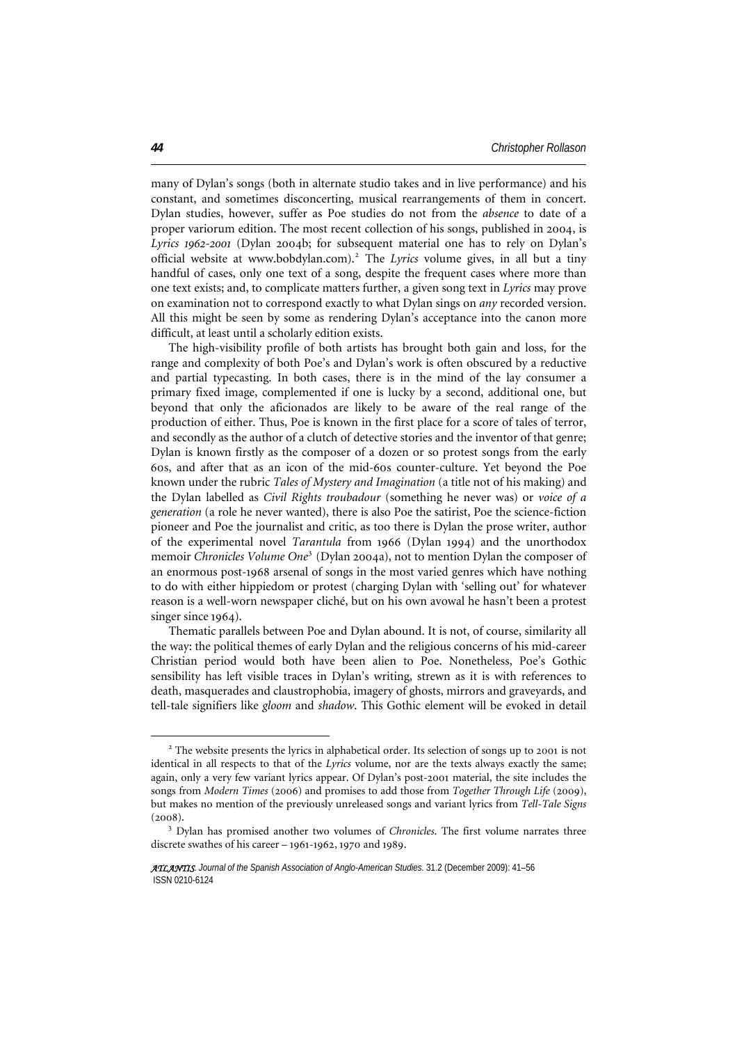many of Dylan's songs (both in alternate studio takes and in live performance) and his constant, and sometimes disconcerting, musical rearrangements of them in concert. Dylan studies, however, suffer as Poe studies do not from the *absence* to date of a proper variorum edition. The most recent collection of his songs, published in 2004, is *Lyrics 1962-2001* (Dylan 2004b; for subsequent material one has to rely on Dylan's official website at www.bobdylan.com).[2](#page-3-0) The *Lyrics* volume gives, in all but a tiny handful of cases, only one text of a song, despite the frequent cases where more than one text exists; and, to complicate matters further, a given song text in *Lyrics* may prove on examination not to correspond exactly to what Dylan sings on *any* recorded version. All this might be seen by some as rendering Dylan's acceptance into the canon more difficult, at least until a scholarly edition exists.

The high-visibility profile of both artists has brought both gain and loss, for the range and complexity of both Poe's and Dylan's work is often obscured by a reductive and partial typecasting. In both cases, there is in the mind of the lay consumer a primary fixed image, complemented if one is lucky by a second, additional one, but beyond that only the aficionados are likely to be aware of the real range of the production of either. Thus, Poe is known in the first place for a score of tales of terror, and secondly as the author of a clutch of detective stories and the inventor of that genre; Dylan is known firstly as the composer of a dozen or so protest songs from the early 60s, and after that as an icon of the mid-60s counter-culture. Yet beyond the Poe known under the rubric *Tales of Mystery and Imagination* (a title not of his making) and the Dylan labelled as *Civil Rights troubadour* (something he never was) or *voice of a generation* (a role he never wanted), there is also Poe the satirist, Poe the science-fiction pioneer and Poe the journalist and critic, as too there is Dylan the prose writer, author of the experimental novel *Tarantula* from 1966 (Dylan 1994) and the unorthodox memoir *Chronicles Volume One*[3](#page-3-1) (Dylan 2004a), not to mention Dylan the composer of an enormous post-1968 arsenal of songs in the most varied genres which have nothing to do with either hippiedom or protest (charging Dylan with 'selling out' for whatever reason is a well-worn newspaper cliché, but on his own avowal he hasn't been a protest singer since 1964).

Thematic parallels between Poe and Dylan abound. It is not, of course, similarity all the way: the political themes of early Dylan and the religious concerns of his mid-career Christian period would both have been alien to Poe. Nonetheless, Poe's Gothic sensibility has left visible traces in Dylan's writing, strewn as it is with references to death, masquerades and claustrophobia, imagery of ghosts, mirrors and graveyards, and tell-tale signifiers like *gloom* and *shadow*. This Gothic element will be evoked in detail

<span id="page-3-0"></span> $2^2$  The website presents the lyrics in alphabetical order. Its selection of songs up to 2001 is not identical in all respects to that of the *Lyrics* volume, nor are the texts always exactly the same; again, only a very few variant lyrics appear. Of Dylan's post-2001 material, the site includes the songs from *Modern Times* (2006) and promises to add those from *Together Through Life* (2009), but makes no mention of the previously unreleased songs and variant lyrics from *Tell-Tale Signs*  $(2008)$ 

<span id="page-3-1"></span>Dylan has promised another two volumes of *Chronicles*. The first volume narrates three discrete swathes of his career – 1961-1962, 1970 and 1989.

*ATLANTIS*. *Journal of the Spanish Association of Anglo-American Studies.* 31.2 (December 2009): 41–56 ISSN 0210-6124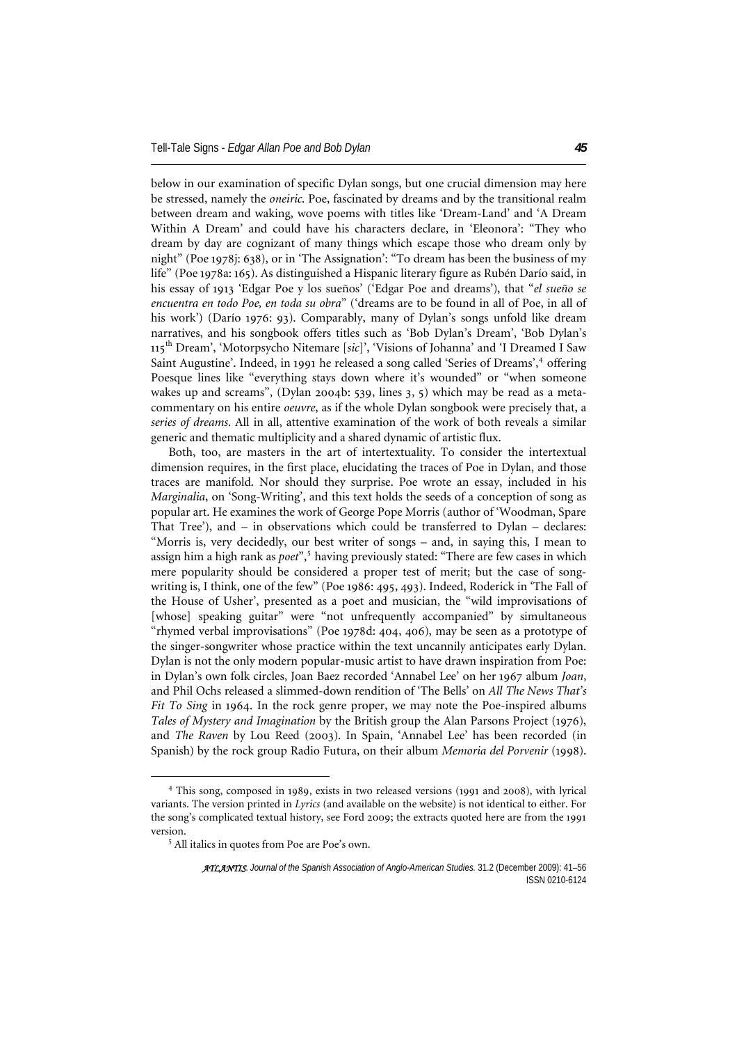below in our examination of specific Dylan songs, but one crucial dimension may here be stressed, namely the *oneiric*. Poe, fascinated by dreams and by the transitional realm between dream and waking, wove poems with titles like 'Dream-Land' and 'A Dream Within A Dream' and could have his characters declare, in 'Eleonora': "They who dream by day are cognizant of many things which escape those who dream only by night" (Poe 1978j: 638), or in 'The Assignation': "To dream has been the business of my life" (Poe 1978a: 165). As distinguished a Hispanic literary figure as Rubén Darío said, in his essay of 1913 'Edgar Poe y los sueños' ('Edgar Poe and dreams'), that "*el sueño se encuentra en todo Poe, en toda su obra*" ('dreams are to be found in all of Poe, in all of his work') (Darío 1976: 93). Comparably, many of Dylan's songs unfold like dream narratives, and his songbook offers titles such as 'Bob Dylan's Dream', 'Bob Dylan's 115th Dream', 'Motorpsycho Nitemare [*sic*]', 'Visions of Johanna' and 'I Dreamed I Saw Saint Augustine'. Indeed, in 1991 he released a song called 'Series of Dreams',<sup>[4](#page-4-0)</sup> offering Poesque lines like "everything stays down where it's wounded" or "when someone wakes up and screams", (Dylan 2004b: 539, lines 3, 5) which may be read as a metacommentary on his entire *oeuvre*, as if the whole Dylan songbook were precisely that, a *series of dreams*. All in all, attentive examination of the work of both reveals a similar generic and thematic multiplicity and a shared dynamic of artistic flux.

Both, too, are masters in the art of intertextuality. To consider the intertextual dimension requires, in the first place, elucidating the traces of Poe in Dylan, and those traces are manifold. Nor should they surprise. Poe wrote an essay, included in his *Marginalia*, on 'Song-Writing', and this text holds the seeds of a conception of song as popular art. He examines the work of George Pope Morris (author of 'Woodman, Spare That Tree'), and – in observations which could be transferred to Dylan – declares: "Morris is, very decidedly, our best writer of songs – and, in saying this, I mean to assign him a high rank as *poet*",<sup>[5](#page-4-1)</sup> having previously stated: "There are few cases in which mere popularity should be considered a proper test of merit; but the case of songwriting is, I think, one of the few" (Poe 1986: 495, 493). Indeed, Roderick in 'The Fall of the House of Usher', presented as a poet and musician, the "wild improvisations of [whose] speaking guitar" were "not unfrequently accompanied" by simultaneous "rhymed verbal improvisations" (Poe 1978d: 404, 406), may be seen as a prototype of the singer-songwriter whose practice within the text uncannily anticipates early Dylan. Dylan is not the only modern popular-music artist to have drawn inspiration from Poe: in Dylan's own folk circles, Joan Baez recorded 'Annabel Lee' on her 1967 album *Joan*, and Phil Ochs released a slimmed-down rendition of 'The Bells' on *All The News That's Fit To Sing* in 1964. In the rock genre proper, we may note the Poe-inspired albums *Tales of Mystery and Imagination* by the British group the Alan Parsons Project (1976), and *The Raven* by Lou Reed (2003). In Spain, 'Annabel Lee' has been recorded (in Spanish) by the rock group Radio Futura, on their album *Memoria del Porvenir* (1998).

<span id="page-4-1"></span><span id="page-4-0"></span><sup>4</sup> This song, composed in 1989, exists in two released versions (1991 and 2008), with lyrical variants. The version printed in *Lyrics* (and available on the website) is not identical to either. For the song's complicated textual history, see Ford 2009; the extracts quoted here are from the 1991 version.

All italics in quotes from Poe are Poe's own.

*ATLANTIS*. *Journal of the Spanish Association of Anglo-American Studies.* 31.2 (December 2009): 41–56 ISSN 0210-6124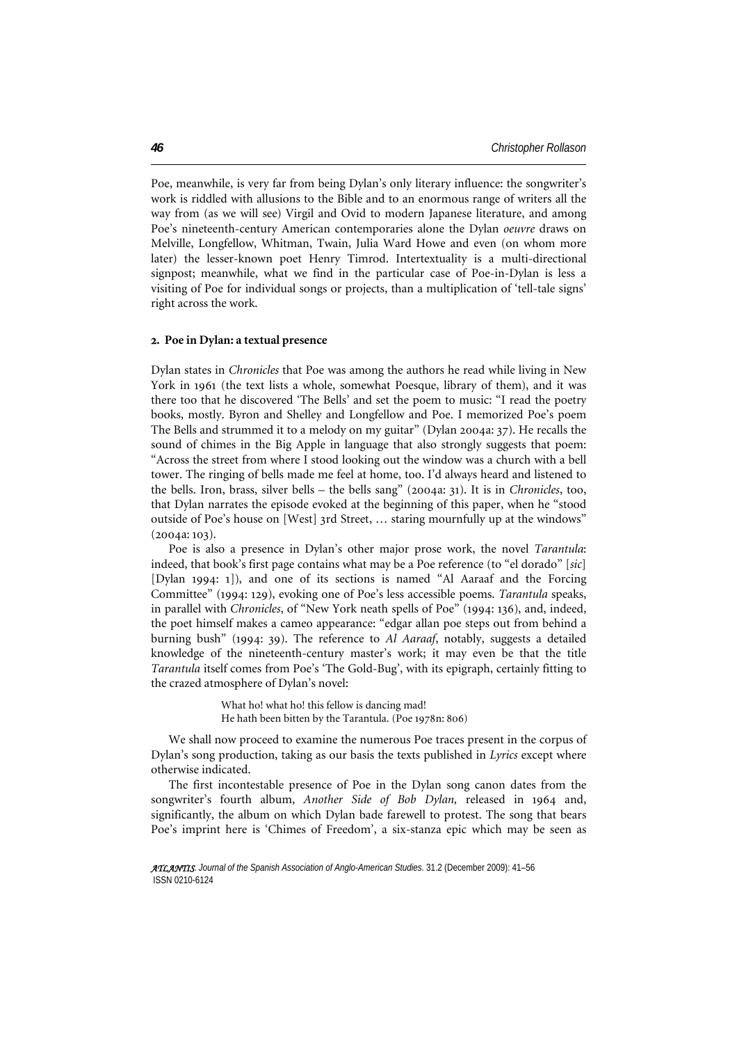Poe, meanwhile, is very far from being Dylan's only literary influence: the songwriter's work is riddled with allusions to the Bible and to an enormous range of writers all the way from (as we will see) Virgil and Ovid to modern Japanese literature, and among Poe's nineteenth-century American contemporaries alone the Dylan *oeuvre* draws on Melville, Longfellow, Whitman, Twain, Julia Ward Howe and even (on whom more later) the lesser-known poet Henry Timrod. Intertextuality is a multi-directional signpost; meanwhile, what we find in the particular case of Poe-in-Dylan is less a visiting of Poe for individual songs or projects, than a multiplication of 'tell-tale signs' right across the work.

## **2. Poe in Dylan: a textual presence**

Dylan states in *Chronicles* that Poe was among the authors he read while living in New York in 1961 (the text lists a whole, somewhat Poesque, library of them), and it was there too that he discovered 'The Bells' and set the poem to music: "I read the poetry books, mostly. Byron and Shelley and Longfellow and Poe. I memorized Poe's poem The Bells and strummed it to a melody on my guitar" (Dylan 2004a: 37). He recalls the sound of chimes in the Big Apple in language that also strongly suggests that poem: "Across the street from where I stood looking out the window was a church with a bell tower. The ringing of bells made me feel at home, too. I'd always heard and listened to the bells. Iron, brass, silver bells – the bells sang" (2004a: 31). It is in *Chronicles*, too, that Dylan narrates the episode evoked at the beginning of this paper, when he "stood outside of Poe's house on [West] 3rd Street, … staring mournfully up at the windows" (2004a: 103).

Poe is also a presence in Dylan's other major prose work, the novel *Tarantula*: indeed, that book's first page contains what may be a Poe reference (to "el dorado" [*sic*] [Dylan 1994: 1]), and one of its sections is named "Al Aaraaf and the Forcing Committee" (1994: 129), evoking one of Poe's less accessible poems. *Tarantula* speaks, in parallel with *Chronicles*, of "New York neath spells of Poe" (1994: 136), and, indeed, the poet himself makes a cameo appearance: "edgar allan poe steps out from behind a burning bush" (1994: 39). The reference to *Al Aaraaf*, notably, suggests a detailed knowledge of the nineteenth-century master's work; it may even be that the title *Tarantula* itself comes from Poe's 'The Gold-Bug', with its epigraph, certainly fitting to the crazed atmosphere of Dylan's novel:

> What ho! what ho! this fellow is dancing mad! He hath been bitten by the Tarantula. (Poe 1978n: 806)

We shall now proceed to examine the numerous Poe traces present in the corpus of Dylan's song production, taking as our basis the texts published in *Lyrics* except where otherwise indicated.

The first incontestable presence of Poe in the Dylan song canon dates from the songwriter's fourth album, *Another Side of Bob Dylan,* released in 1964 and, significantly, the album on which Dylan bade farewell to protest. The song that bears Poe's imprint here is 'Chimes of Freedom', a six-stanza epic which may be seen as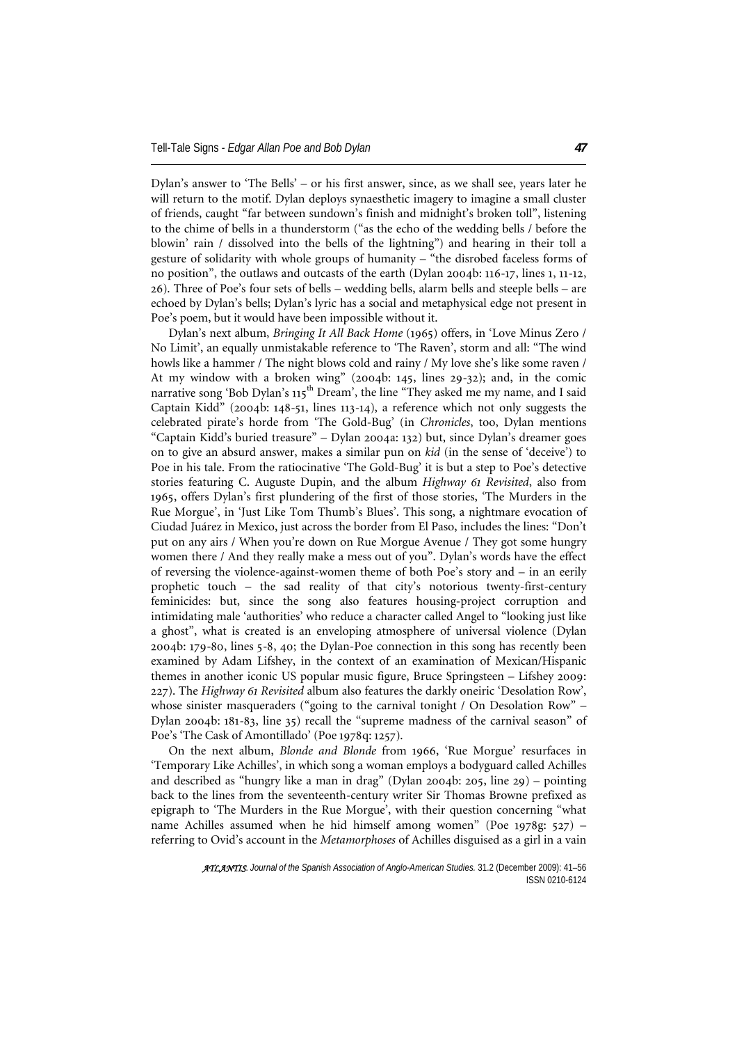Dylan's answer to 'The Bells' – or his first answer, since, as we shall see, years later he will return to the motif. Dylan deploys synaesthetic imagery to imagine a small cluster of friends, caught "far between sundown's finish and midnight's broken toll", listening to the chime of bells in a thunderstorm ("as the echo of the wedding bells / before the blowin' rain / dissolved into the bells of the lightning") and hearing in their toll a gesture of solidarity with whole groups of humanity – "the disrobed faceless forms of no position", the outlaws and outcasts of the earth (Dylan 2004b: 116-17, lines 1, 11-12, 26). Three of Poe's four sets of bells – wedding bells, alarm bells and steeple bells – are echoed by Dylan's bells; Dylan's lyric has a social and metaphysical edge not present in Poe's poem, but it would have been impossible without it.

Dylan's next album, *Bringing It All Back Home* (1965) offers, in 'Love Minus Zero / No Limit', an equally unmistakable reference to 'The Raven', storm and all: "The wind howls like a hammer / The night blows cold and rainy / My love she's like some raven / At my window with a broken wing" (2004b: 145, lines 29-32); and, in the comic narrative song 'Bob Dylan's  $115^{th}$  Dream', the line "They asked me my name, and I said Captain Kidd" (2004b: 148-51, lines 113-14), a reference which not only suggests the celebrated pirate's horde from 'The Gold-Bug' (in *Chronicles*, too, Dylan mentions "Captain Kidd's buried treasure" – Dylan 2004a: 132) but, since Dylan's dreamer goes on to give an absurd answer, makes a similar pun on *kid* (in the sense of 'deceive') to Poe in his tale. From the ratiocinative 'The Gold-Bug' it is but a step to Poe's detective stories featuring C. Auguste Dupin, and the album *Highway 61 Revisited*, also from 1965, offers Dylan's first plundering of the first of those stories, 'The Murders in the Rue Morgue', in 'Just Like Tom Thumb's Blues'. This song, a nightmare evocation of Ciudad Juárez in Mexico, just across the border from El Paso, includes the lines: "Don't put on any airs / When you're down on Rue Morgue Avenue / They got some hungry women there / And they really make a mess out of you". Dylan's words have the effect of reversing the violence-against-women theme of both Poe's story and – in an eerily prophetic touch – the sad reality of that city's notorious twenty-first-century feminicides: but, since the song also features housing-project corruption and intimidating male 'authorities' who reduce a character called Angel to "looking just like a ghost", what is created is an enveloping atmosphere of universal violence (Dylan 2004b: 179-80, lines 5-8, 40; the Dylan-Poe connection in this song has recently been examined by Adam Lifshey, in the context of an examination of Mexican/Hispanic themes in another iconic US popular music figure, Bruce Springsteen – Lifshey 2009: 227). The *Highway 61 Revisited* album also features the darkly oneiric 'Desolation Row', whose sinister masqueraders ("going to the carnival tonight / On Desolation Row" – Dylan 2004b: 181-83, line 35) recall the "supreme madness of the carnival season" of Poe's 'The Cask of Amontillado' (Poe 1978q: 1257).

On the next album, *Blonde and Blonde* from 1966, 'Rue Morgue' resurfaces in 'Temporary Like Achilles', in which song a woman employs a bodyguard called Achilles and described as "hungry like a man in drag" (Dylan 2004b: 205, line 29) – pointing back to the lines from the seventeenth-century writer Sir Thomas Browne prefixed as epigraph to 'The Murders in the Rue Morgue', with their question concerning "what name Achilles assumed when he hid himself among women" (Poe 1978g: 527) – referring to Ovid's account in the *Metamorphoses* of Achilles disguised as a girl in a vain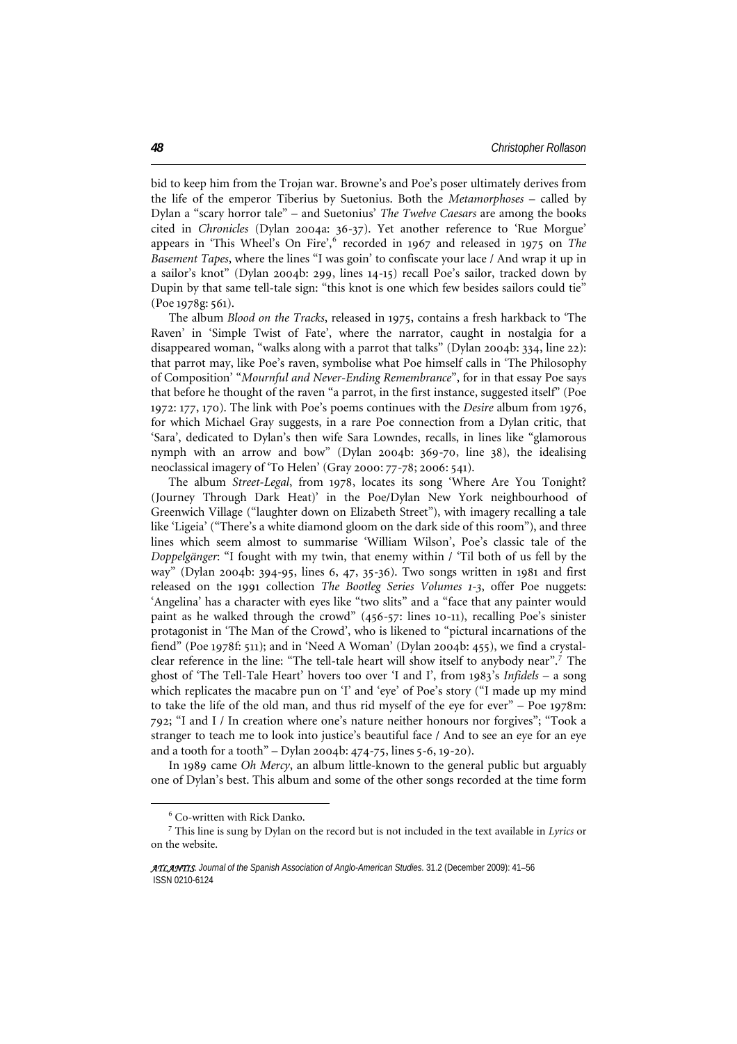bid to keep him from the Trojan war. Browne's and Poe's poser ultimately derives from the life of the emperor Tiberius by Suetonius. Both the *Metamorphoses* – called by Dylan a "scary horror tale" – and Suetonius' *The Twelve Caesars* are among the books cited in *Chronicles* (Dylan 2004a: 36-37). Yet another reference to 'Rue Morgue' appears in 'This Wheel's On Fire', <sup>[6](#page-7-0)</sup> recorded in 1967 and released in 1975 on *The Basement Tapes*, where the lines "I was goin' to confiscate your lace / And wrap it up in a sailor's knot" (Dylan 2004b: 299, lines 14-15) recall Poe's sailor, tracked down by Dupin by that same tell-tale sign: "this knot is one which few besides sailors could tie" (Poe 1978g: 561).

The album *Blood on the Tracks*, released in 1975, contains a fresh harkback to 'The Raven' in 'Simple Twist of Fate', where the narrator, caught in nostalgia for a disappeared woman, "walks along with a parrot that talks" (Dylan 2004b: 334, line 22): that parrot may, like Poe's raven, symbolise what Poe himself calls in 'The Philosophy of Composition' "*Mournful and Never-Ending Remembrance*", for in that essay Poe says that before he thought of the raven "a parrot, in the first instance, suggested itself" (Poe 1972: 177, 170). The link with Poe's poems continues with the *Desire* album from 1976, for which Michael Gray suggests, in a rare Poe connection from a Dylan critic, that 'Sara', dedicated to Dylan's then wife Sara Lowndes, recalls, in lines like "glamorous nymph with an arrow and bow" (Dylan 2004b: 369-70, line 38), the idealising neoclassical imagery of 'To Helen' (Gray 2000: 77-78; 2006: 541).

The album *Street-Legal*, from 1978, locates its song 'Where Are You Tonight? (Journey Through Dark Heat)' in the Poe/Dylan New York neighbourhood of Greenwich Village ("laughter down on Elizabeth Street"), with imagery recalling a tale like 'Ligeia' ("There's a white diamond gloom on the dark side of this room"), and three lines which seem almost to summarise 'William Wilson', Poe's classic tale of the *Doppelgänger*: "I fought with my twin, that enemy within / 'Til both of us fell by the way" (Dylan 2004b: 394-95, lines 6, 47, 35-36). Two songs written in 1981 and first released on the 1991 collection *The Bootleg Series Volumes 1-3*, offer Poe nuggets: 'Angelina' has a character with eyes like "two slits" and a "face that any painter would paint as he walked through the crowd" (456-57: lines 10-11), recalling Poe's sinister protagonist in 'The Man of the Crowd', who is likened to "pictural incarnations of the fiend" (Poe 1978f: 511); and in 'Need A Woman' (Dylan 2004b: 455), we find a crystal-clear reference in the line: "The tell-tale heart will show itself to anybody near".<sup>[7](#page-7-1)</sup> The ghost of 'The Tell-Tale Heart' hovers too over 'I and I', from 1983's *Infidels* – a song which replicates the macabre pun on 'I' and 'eye' of Poe's story ("I made up my mind to take the life of the old man, and thus rid myself of the eye for ever" – Poe 1978m: 792; "I and I / In creation where one's nature neither honours nor forgives"; "Took a stranger to teach me to look into justice's beautiful face / And to see an eye for an eye and a tooth for a tooth" – Dylan 2004b: 474-75, lines 5-6, 19-20).

In 1989 came *Oh Mercy*, an album little-known to the general public but arguably one of Dylan's best. This album and some of the other songs recorded at the time form

 $6$  Co-written with Rick Danko.

<span id="page-7-1"></span><span id="page-7-0"></span><sup>7</sup> This line is sung by Dylan on the record but is not included in the text available in *Lyrics* or on the website.

*ATLANTIS*. *Journal of the Spanish Association of Anglo-American Studies.* 31.2 (December 2009): 41–56 ISSN 0210-6124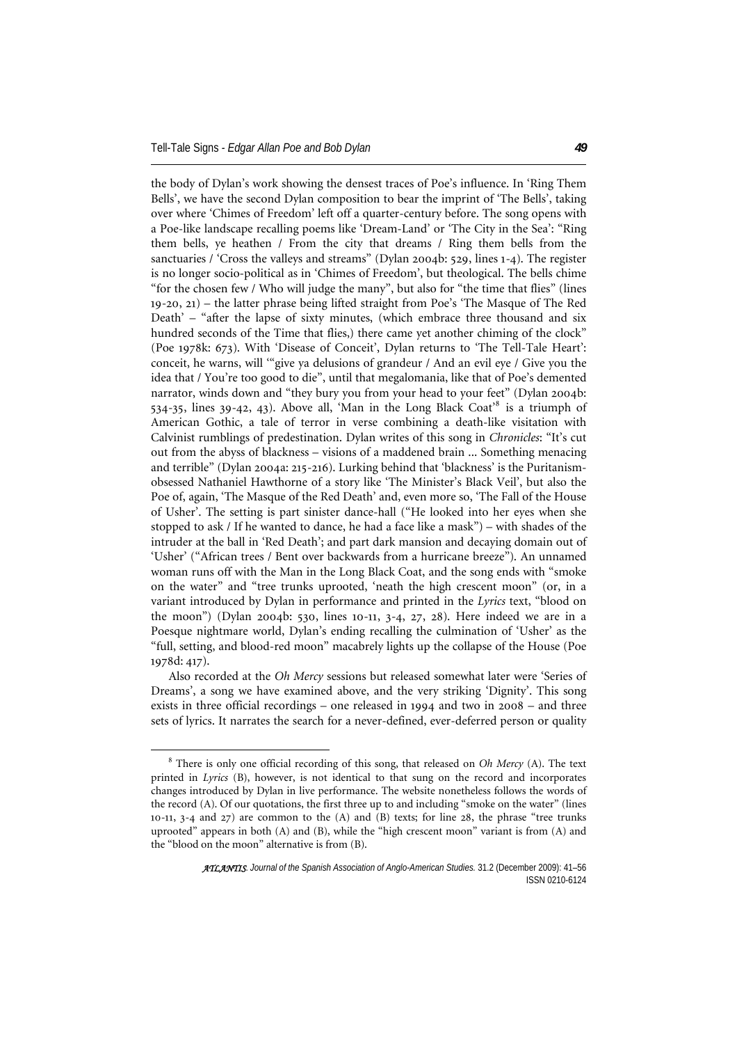the body of Dylan's work showing the densest traces of Poe's influence. In 'Ring Them Bells', we have the second Dylan composition to bear the imprint of 'The Bells', taking over where 'Chimes of Freedom' left off a quarter-century before. The song opens with a Poe-like landscape recalling poems like 'Dream-Land' or 'The City in the Sea': "Ring them bells, ye heathen / From the city that dreams / Ring them bells from the sanctuaries / 'Cross the valleys and streams" (Dylan 2004b: 529, lines 1-4). The register is no longer socio-political as in 'Chimes of Freedom', but theological. The bells chime "for the chosen few / Who will judge the many", but also for "the time that flies" (lines 19-20, 21) – the latter phrase being lifted straight from Poe's 'The Masque of The Red Death' – "after the lapse of sixty minutes, (which embrace three thousand and six hundred seconds of the Time that flies,) there came yet another chiming of the clock" (Poe 1978k: 673). With 'Disease of Conceit', Dylan returns to 'The Tell-Tale Heart': conceit, he warns, will '"give ya delusions of grandeur / And an evil eye / Give you the idea that / You're too good to die", until that megalomania, like that of Poe's demented narrator, winds down and "they bury you from your head to your feet" (Dylan 2004b: 534-35, lines 39-42, 43). Above all, 'Man in the Long Black Coat'<sup>[8](#page-8-0)</sup> is a triumph of American Gothic, a tale of terror in verse combining a death-like visitation with Calvinist rumblings of predestination. Dylan writes of this song in *Chronicles*: "It's cut out from the abyss of blackness – visions of a maddened brain ... Something menacing and terrible" (Dylan 2004a: 215-216). Lurking behind that 'blackness' is the Puritanismobsessed Nathaniel Hawthorne of a story like 'The Minister's Black Veil', but also the Poe of, again, 'The Masque of the Red Death' and, even more so, 'The Fall of the House of Usher'. The setting is part sinister dance-hall ("He looked into her eyes when she stopped to ask / If he wanted to dance, he had a face like a mask") – with shades of the intruder at the ball in 'Red Death'; and part dark mansion and decaying domain out of 'Usher' ("African trees / Bent over backwards from a hurricane breeze"). An unnamed woman runs off with the Man in the Long Black Coat, and the song ends with "smoke on the water" and "tree trunks uprooted, 'neath the high crescent moon" (or, in a variant introduced by Dylan in performance and printed in the *Lyrics* text, "blood on the moon") (Dylan 2004b: 530, lines 10-11, 3-4, 27, 28). Here indeed we are in a Poesque nightmare world, Dylan's ending recalling the culmination of 'Usher' as the "full, setting, and blood-red moon" macabrely lights up the collapse of the House (Poe 1978d: 417).

Also recorded at the *Oh Mercy* sessions but released somewhat later were 'Series of Dreams', a song we have examined above, and the very striking 'Dignity'. This song exists in three official recordings – one released in 1994 and two in 2008 – and three sets of lyrics. It narrates the search for a never-defined, ever-deferred person or quality

<span id="page-8-0"></span><sup>8</sup> There is only one official recording of this song, that released on *Oh Mercy* (A). The text printed in *Lyrics* (B), however, is not identical to that sung on the record and incorporates changes introduced by Dylan in live performance. The website nonetheless follows the words of the record (A). Of our quotations, the first three up to and including "smoke on the water" (lines 10-11, 3-4 and 27) are common to the (A) and (B) texts; for line 28, the phrase "tree trunks uprooted" appears in both (A) and (B), while the "high crescent moon" variant is from (A) and the "blood on the moon" alternative is from (B).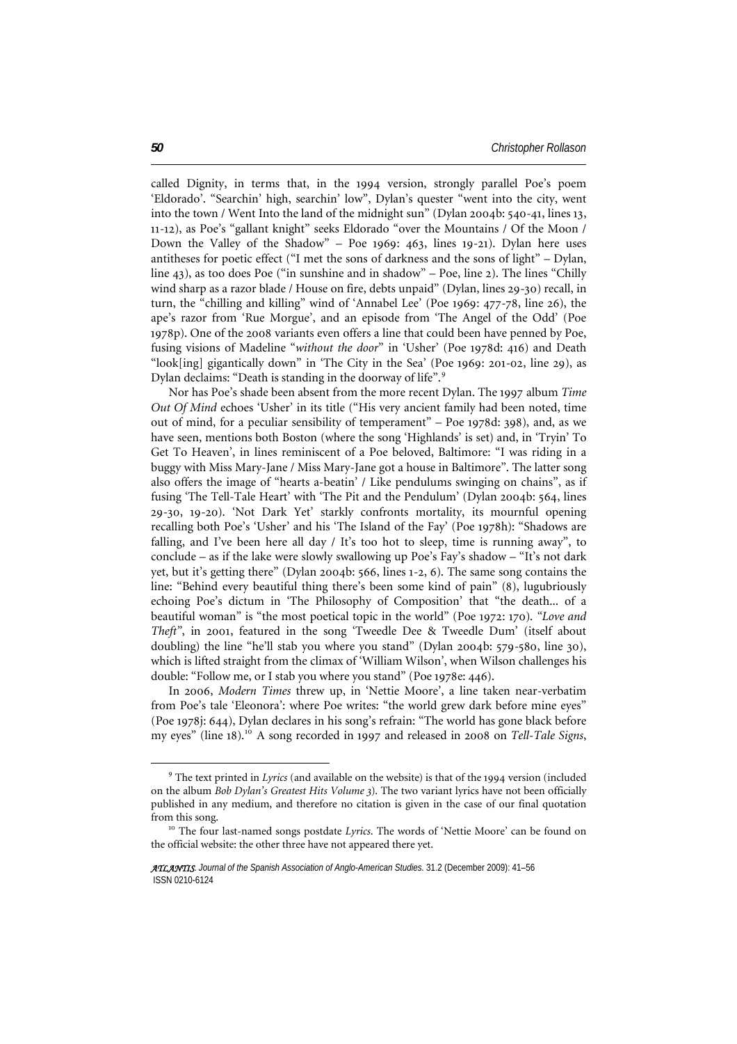called Dignity, in terms that, in the 1994 version, strongly parallel Poe's poem 'Eldorado'. "Searchin' high, searchin' low", Dylan's quester "went into the city, went into the town / Went Into the land of the midnight sun" (Dylan 2004b: 540-41, lines 13, 11-12), as Poe's "gallant knight" seeks Eldorado "over the Mountains / Of the Moon / Down the Valley of the Shadow" – Poe 1969: 463, lines 19-21). Dylan here uses antitheses for poetic effect ("I met the sons of darkness and the sons of light" – Dylan, line 43), as too does Poe ("in sunshine and in shadow" – Poe, line 2). The lines "Chilly wind sharp as a razor blade / House on fire, debts unpaid" (Dylan, lines 29-30) recall, in turn, the "chilling and killing" wind of 'Annabel Lee' (Poe 1969: 477-78, line 26), the ape's razor from 'Rue Morgue', and an episode from 'The Angel of the Odd' (Poe 1978p). One of the 2008 variants even offers a line that could been have penned by Poe, fusing visions of Madeline "*without the door*" in 'Usher' (Poe 1978d: 416) and Death "look[ing] gigantically down" in 'The City in the Sea' (Poe 1969: 201-02, line 29), as Dylan declaims: "Death is standing in the doorway of life".[9](#page-9-0)

Nor has Poe's shade been absent from the more recent Dylan. The 1997 album *Time Out Of Mind* echoes 'Usher' in its title ("His very ancient family had been noted, time out of mind, for a peculiar sensibility of temperament" – Poe 1978d: 398), and, as we have seen, mentions both Boston (where the song 'Highlands' is set) and, in 'Tryin' To Get To Heaven', in lines reminiscent of a Poe beloved, Baltimore: "I was riding in a buggy with Miss Mary-Jane / Miss Mary-Jane got a house in Baltimore". The latter song also offers the image of "hearts a-beatin' / Like pendulums swinging on chains", as if fusing 'The Tell-Tale Heart' with 'The Pit and the Pendulum' (Dylan 2004b: 564, lines 29-30, 19-20). 'Not Dark Yet' starkly confronts mortality, its mournful opening recalling both Poe's 'Usher' and his 'The Island of the Fay' (Poe 1978h): "Shadows are falling, and I've been here all day / It's too hot to sleep, time is running away", to conclude – as if the lake were slowly swallowing up Poe's Fay's shadow – "It's not dark yet, but it's getting there" (Dylan 2004b: 566, lines 1-2, 6). The same song contains the line: "Behind every beautiful thing there's been some kind of pain" (8), lugubriously echoing Poe's dictum in 'The Philosophy of Composition' that "the death... of a beautiful woman" is "the most poetical topic in the world" (Poe 1972: 170). *"Love and Theft"*, in 2001, featured in the song 'Tweedle Dee & Tweedle Dum' (itself about doubling) the line "he'll stab you where you stand" (Dylan 2004b: 579-580, line 30), which is lifted straight from the climax of 'William Wilson', when Wilson challenges his double: "Follow me, or I stab you where you stand" (Poe 1978e: 446).

In 2006, *Modern Times* threw up, in 'Nettie Moore', a line taken near-verbatim from Poe's tale 'Eleonora': where Poe writes: "the world grew dark before mine eyes" (Poe 1978j: 644), Dylan declares in his song's refrain: "The world has gone black before my eyes" (line 18).[10](#page-9-1) A song recorded in 1997 and released in 2008 on *Tell-Tale Signs*,

<span id="page-9-0"></span><sup>9</sup> The text printed in *Lyrics* (and available on the website) is that of the 1994 version (included on the album *Bob Dylan's Greatest Hits Volume 3*). The two variant lyrics have not been officially published in any medium, and therefore no citation is given in the case of our final quotation from this song. 10 The four last-named songs postdate *Lyrics*. The words of 'Nettie Moore' can be found on

<span id="page-9-1"></span>the official website: the other three have not appeared there yet.

*ATLANTIS*. *Journal of the Spanish Association of Anglo-American Studies.* 31.2 (December 2009): 41–56 ISSN 0210-6124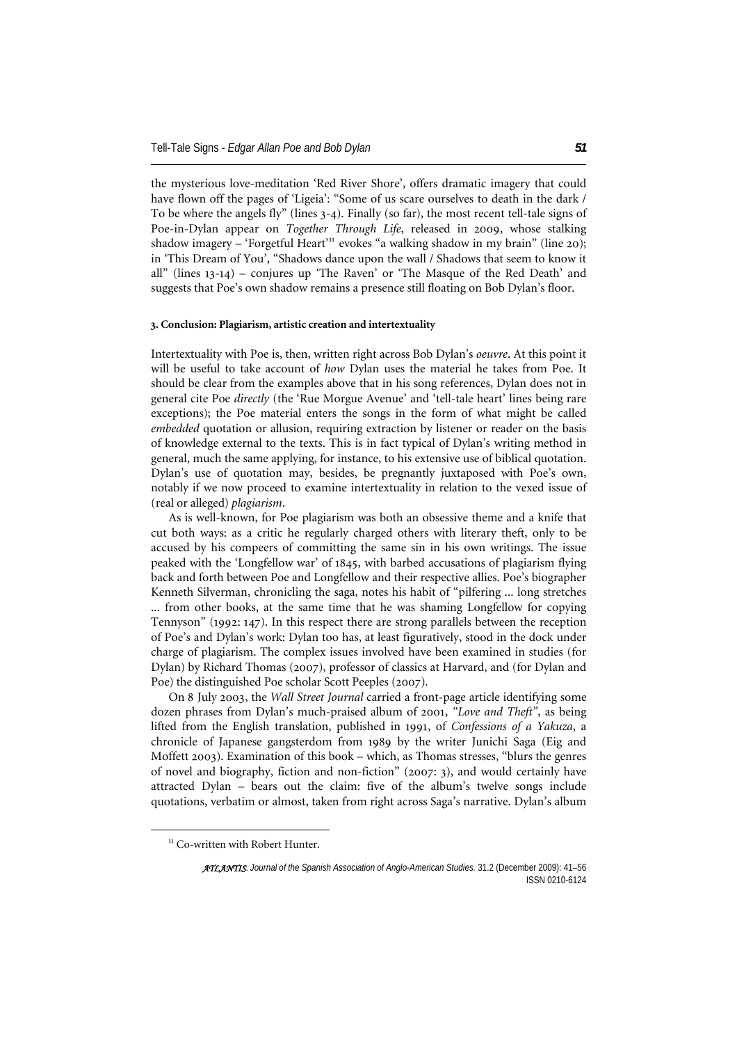the mysterious love-meditation 'Red River Shore', offers dramatic imagery that could have flown off the pages of 'Ligeia': "Some of us scare ourselves to death in the dark / To be where the angels fly" (lines 3-4). Finally (so far), the most recent tell-tale signs of Poe-in-Dylan appear on *Together Through Life*, released in 2009, whose stalking shadow imagery – 'Forgetful Heart'<sup>[11](#page-10-0)</sup> evokes "a walking shadow in my brain" (line 20); in 'This Dream of You', "Shadows dance upon the wall / Shadows that seem to know it all" (lines 13-14) – conjures up 'The Raven' or 'The Masque of the Red Death' and suggests that Poe's own shadow remains a presence still floating on Bob Dylan's floor.

#### **3. Conclusion: Plagiarism, artistic creation and intertextuality**

Intertextuality with Poe is, then, written right across Bob Dylan's *oeuvre*. At this point it will be useful to take account of *how* Dylan uses the material he takes from Poe. It should be clear from the examples above that in his song references, Dylan does not in general cite Poe *directly* (the 'Rue Morgue Avenue' and 'tell-tale heart' lines being rare exceptions); the Poe material enters the songs in the form of what might be called *embedded* quotation or allusion, requiring extraction by listener or reader on the basis of knowledge external to the texts. This is in fact typical of Dylan's writing method in general, much the same applying, for instance, to his extensive use of biblical quotation. Dylan's use of quotation may, besides, be pregnantly juxtaposed with Poe's own, notably if we now proceed to examine intertextuality in relation to the vexed issue of (real or alleged) *plagiarism*.

As is well-known, for Poe plagiarism was both an obsessive theme and a knife that cut both ways: as a critic he regularly charged others with literary theft, only to be accused by his compeers of committing the same sin in his own writings. The issue peaked with the 'Longfellow war' of 1845, with barbed accusations of plagiarism flying back and forth between Poe and Longfellow and their respective allies. Poe's biographer Kenneth Silverman, chronicling the saga, notes his habit of "pilfering ... long stretches ... from other books, at the same time that he was shaming Longfellow for copying Tennyson" (1992: 147). In this respect there are strong parallels between the reception of Poe's and Dylan's work: Dylan too has, at least figuratively, stood in the dock under charge of plagiarism. The complex issues involved have been examined in studies (for Dylan) by Richard Thomas (2007), professor of classics at Harvard, and (for Dylan and Poe) the distinguished Poe scholar Scott Peeples (2007).

On 8 July 2003, the *Wall Street Journal* carried a front-page article identifying some dozen phrases from Dylan's much-praised album of 2001, *"Love and Theft"*, as being lifted from the English translation, published in 1991, of *Confessions of a Yakuza*, a chronicle of Japanese gangsterdom from 1989 by the writer Junichi Saga (Eig and Moffett 2003). Examination of this book – which, as Thomas stresses, "blurs the genres of novel and biography, fiction and non-fiction" (2007: 3), and would certainly have attracted Dylan – bears out the claim: five of the album's twelve songs include quotations, verbatim or almost, taken from right across Saga's narrative. Dylan's album

<span id="page-10-0"></span> $\overline{a}$ 

<sup>&</sup>lt;sup>11</sup> Co-written with Robert Hunter.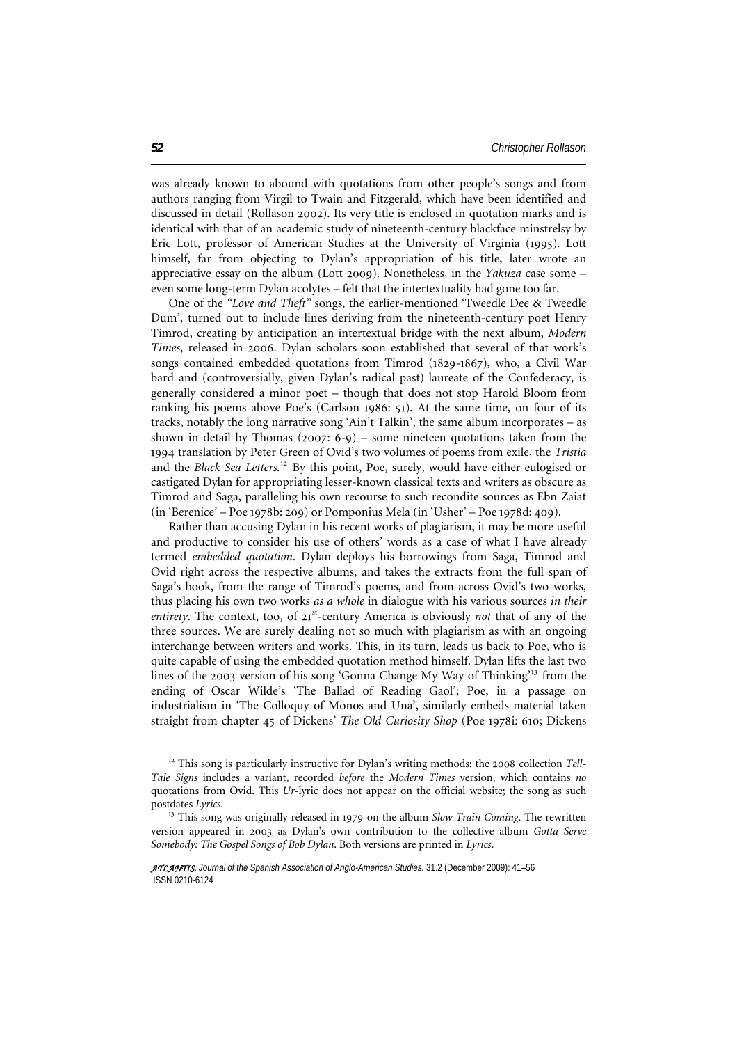was already known to abound with quotations from other people's songs and from authors ranging from Virgil to Twain and Fitzgerald, which have been identified and discussed in detail (Rollason 2002). Its very title is enclosed in quotation marks and is identical with that of an academic study of nineteenth-century blackface minstrelsy by Eric Lott, professor of American Studies at the University of Virginia (1995). Lott himself, far from objecting to Dylan's appropriation of his title, later wrote an appreciative essay on the album (Lott 2009). Nonetheless, in the *Yakuza* case some – even some long-term Dylan acolytes – felt that the intertextuality had gone too far.

One of the *"Love and Theft"* songs, the earlier-mentioned 'Tweedle Dee & Tweedle Dum', turned out to include lines deriving from the nineteenth-century poet Henry Timrod, creating by anticipation an intertextual bridge with the next album, *Modern Times*, released in 2006. Dylan scholars soon established that several of that work's songs contained embedded quotations from Timrod (1829-1867), who, a Civil War bard and (controversially, given Dylan's radical past) laureate of the Confederacy, is generally considered a minor poet – though that does not stop Harold Bloom from ranking his poems above Poe's (Carlson 1986: 51). At the same time, on four of its tracks, notably the long narrative song 'Ain't Talkin', the same album incorporates – as shown in detail by Thomas (2007: 6-9) – some nineteen quotations taken from the 1994 translation by Peter Green of Ovid's two volumes of poems from exile, the *Tristia* and the *Black Sea Letters.*[12](#page-11-0) By this point, Poe, surely, would have either eulogised or castigated Dylan for appropriating lesser-known classical texts and writers as obscure as Timrod and Saga, paralleling his own recourse to such recondite sources as Ebn Zaiat (in 'Berenice' – Poe 1978b: 209) or Pomponius Mela (in 'Usher' – Poe 1978d: 409).

Rather than accusing Dylan in his recent works of plagiarism, it may be more useful and productive to consider his use of others' words as a case of what I have already termed *embedded quotation*. Dylan deploys his borrowings from Saga, Timrod and Ovid right across the respective albums, and takes the extracts from the full span of Saga's book, from the range of Timrod's poems, and from across Ovid's two works, thus placing his own two works *as a whole* in dialogue with his various sources *in their entirety*. The context, too, of  $21^{st}$ -century America is obviously *not* that of any of the three sources. We are surely dealing not so much with plagiarism as with an ongoing interchange between writers and works. This, in its turn, leads us back to Poe, who is quite capable of using the embedded quotation method himself. Dylan lifts the last two lines of the 2003 version of his song 'Gonna Change My Way of Thinking'[13](#page-11-1) from the ending of Oscar Wilde's 'The Ballad of Reading Gaol'; Poe, in a passage on industrialism in 'The Colloquy of Monos and Una', similarly embeds material taken straight from chapter 45 of Dickens' *The Old Curiosity Shop* (Poe 1978i: 610; Dickens

<span id="page-11-0"></span><sup>&</sup>lt;sup>12</sup> This song is particularly instructive for Dylan's writing methods: the 2008 collection *Tell*-*Tale Signs* includes a variant, recorded *before* the *Modern Times* version, which contains *no* quotations from Ovid. This *Ur*-lyric does not appear on the official website; the song as such postdates *Lyrics*. 13 This song was originally released in 1979 on the album *Slow Train Coming*. The rewritten

<span id="page-11-1"></span>version appeared in 2003 as Dylan's own contribution to the collective album *Gotta Serve Somebody: The Gospel Songs of Bob Dylan*. Both versions are printed in *Lyrics*.

*ATLANTIS*. *Journal of the Spanish Association of Anglo-American Studies.* 31.2 (December 2009): 41–56 ISSN 0210-6124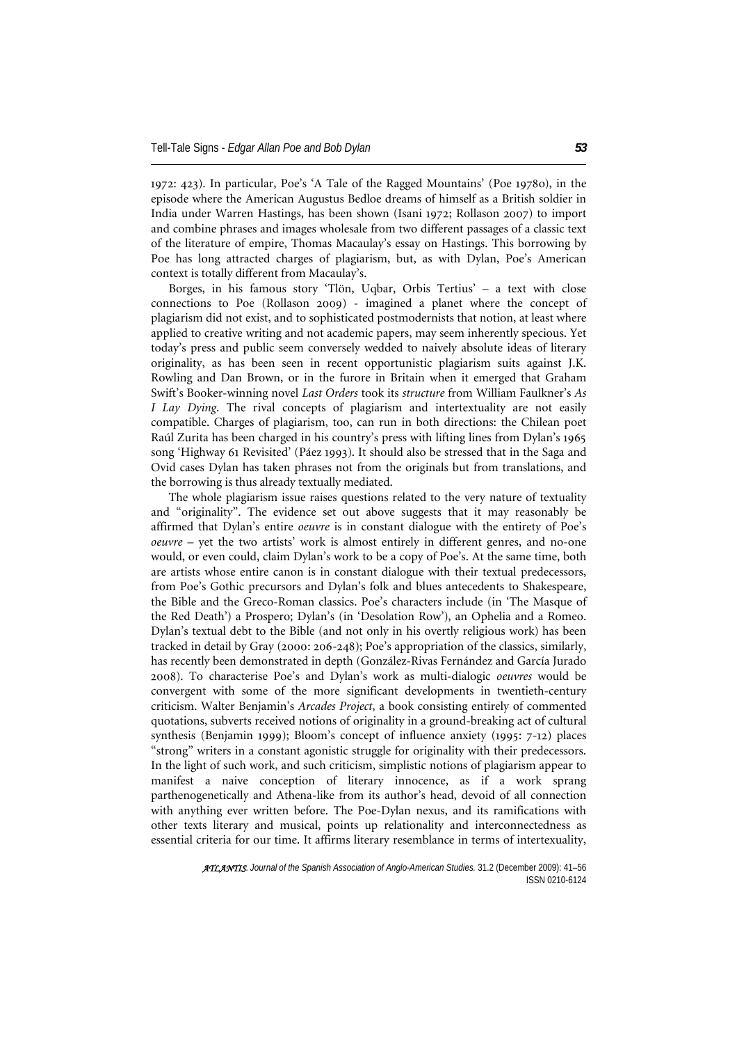1972: 423). In particular, Poe's 'A Tale of the Ragged Mountains' (Poe 1978o), in the episode where the American Augustus Bedloe dreams of himself as a British soldier in India under Warren Hastings, has been shown (Isani 1972; Rollason 2007) to import and combine phrases and images wholesale from two different passages of a classic text of the literature of empire, Thomas Macaulay's essay on Hastings. This borrowing by Poe has long attracted charges of plagiarism, but, as with Dylan, Poe's American context is totally different from Macaulay's.

Borges, in his famous story 'Tlön, Uqbar, Orbis Tertius' – a text with close connections to Poe (Rollason 2009) - imagined a planet where the concept of plagiarism did not exist, and to sophisticated postmodernists that notion, at least where applied to creative writing and not academic papers, may seem inherently specious. Yet today's press and public seem conversely wedded to naively absolute ideas of literary originality, as has been seen in recent opportunistic plagiarism suits against J.K. Rowling and Dan Brown, or in the furore in Britain when it emerged that Graham Swift's Booker-winning novel *Last Orders* took its *structure* from William Faulkner's *As I Lay Dying*. The rival concepts of plagiarism and intertextuality are not easily compatible. Charges of plagiarism, too, can run in both directions: the Chilean poet Raúl Zurita has been charged in his country's press with lifting lines from Dylan's 1965 song 'Highway 61 Revisited' (Páez 1993). It should also be stressed that in the Saga and Ovid cases Dylan has taken phrases not from the originals but from translations, and the borrowing is thus already textually mediated.

The whole plagiarism issue raises questions related to the very nature of textuality and "originality". The evidence set out above suggests that it may reasonably be affirmed that Dylan's entire *oeuvre* is in constant dialogue with the entirety of Poe's *oeuvre* – yet the two artists' work is almost entirely in different genres, and no-one would, or even could, claim Dylan's work to be a copy of Poe's. At the same time, both are artists whose entire canon is in constant dialogue with their textual predecessors, from Poe's Gothic precursors and Dylan's folk and blues antecedents to Shakespeare, the Bible and the Greco-Roman classics. Poe's characters include (in 'The Masque of the Red Death') a Prospero; Dylan's (in 'Desolation Row'), an Ophelia and a Romeo. Dylan's textual debt to the Bible (and not only in his overtly religious work) has been tracked in detail by Gray (2000: 206-248); Poe's appropriation of the classics, similarly, has recently been demonstrated in depth (González-Rivas Fernández and García Jurado 2008). To characterise Poe's and Dylan's work as multi-dialogic *oeuvres* would be convergent with some of the more significant developments in twentieth-century criticism. Walter Benjamin's *Arcades Project*, a book consisting entirely of commented quotations, subverts received notions of originality in a ground-breaking act of cultural synthesis (Benjamin 1999); Bloom's concept of influence anxiety (1995: 7-12) places "strong" writers in a constant agonistic struggle for originality with their predecessors. In the light of such work, and such criticism, simplistic notions of plagiarism appear to manifest a naive conception of literary innocence, as if a work sprang parthenogenetically and Athena-like from its author's head, devoid of all connection with anything ever written before. The Poe-Dylan nexus, and its ramifications with other texts literary and musical, points up relationality and interconnectedness as essential criteria for our time. It affirms literary resemblance in terms of intertexuality,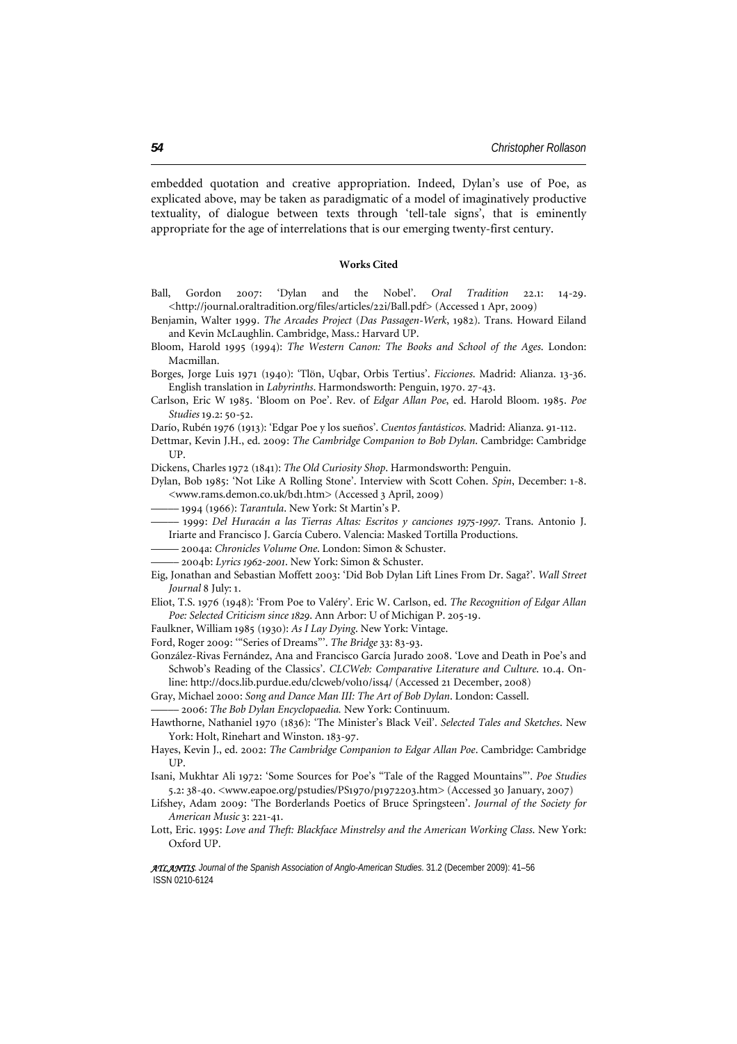embedded quotation and creative appropriation. Indeed, Dylan's use of Poe, as explicated above, may be taken as paradigmatic of a model of imaginatively productive textuality, of dialogue between texts through 'tell-tale signs', that is eminently appropriate for the age of interrelations that is our emerging twenty-first century.

## **Works Cited**

- Ball, Gordon 2007: 'Dylan and the Nobel'. *Oral Tradition* 22.1: 14-29. <[http://journal.oraltradition.org/files/articles/22i/Ball.pdf>](http://journal.oraltradition.org/files/articles/22i/Ball.pdf) (Accessed 1 Apr, 2009)
- Benjamin, Walter 1999. *The Arcades Project* (*Das Passagen-Werk*, 1982). Trans. Howard Eiland and Kevin McLaughlin. Cambridge, Mass.: Harvard UP.
- Bloom, Harold 1995 (1994): *The Western Canon: The Books and School of the Ages*. London: Macmillan.
- Borges, Jorge Luis 1971 (1940): 'Tlön, Uqbar, Orbis Tertius'. *Ficciones*. Madrid: Alianza. 13-36. English translation in *Labyrinths*. Harmondsworth: Penguin, 1970. 27-43.
- Carlson, Eric W 1985. 'Bloom on Poe'. Rev. of *Edgar Allan Poe*, ed. Harold Bloom. 1985. *Poe Studies* 19.2: 50-52.

Darío, Rubén 1976 (1913): 'Edgar Poe y los sueños'. *Cuentos fantásticos*. Madrid: Alianza. 91-112.

- Dettmar, Kevin J.H., ed. 2009: *The Cambridge Companion to Bob Dylan*. Cambridge: Cambridge UP.
- Dickens, Charles 1972 (1841): *The Old Curiosity Shop*. Harmondsworth: Penguin.
- Dylan, Bob 1985: 'Not Like A Rolling Stone'. Interview with Scott Cohen. *Spin*, December: 1-8. <[www.rams.demon.co.uk/bd1.htm](http://www.rams.demon.co.uk/bd1.htm)> (Accessed 3 April, 2009)
- ––––– 1994 (1966): *Tarantula*. New York: St Martin's P.
- ––––– 1999: *Del Huracán a las Tierras Altas: Escritos y canciones 1975-1997*. Trans. Antonio J. Iriarte and Francisco J. García Cubero. Valencia: Masked Tortilla Productions.
- ––––– 2004a: *Chronicles Volume One*. London: Simon & Schuster.
- ––––– 2004b: *Lyrics 1962-2001*. New York: Simon & Schuster.
- Eig, Jonathan and Sebastian Moffett 2003: 'Did Bob Dylan Lift Lines From Dr. Saga?'. *Wall Street Journal* 8 July: 1.
- Eliot, T.S. 1976 (1948): 'From Poe to Valéry'. Eric W. Carlson, ed. *The Recognition of Edgar Allan Poe: Selected Criticism since 1829*. Ann Arbor: U of Michigan P. 205-19.
- Faulkner, William 1985 (1930): *As I Lay Dying*. New York: Vintage.
- Ford, Roger 2009: '"Series of Dreams"'. *The Bridge* 33: 83-93.
- González-Rivas Fernández, Ana and Francisco García Jurado 2008. 'Love and Death in Poe's and Schwob's Reading of the Classics'. *CLCWeb: Comparative Literature and Culture*. 10.4. Online: <http://docs.lib.purdue.edu/clcweb/vol10/iss4/>(Accessed 21 December, 2008)
- Gray, Michael 2000: *Song and Dance Man III: The Art of Bob Dylan*. London: Cassell.
- ––––– 2006: *The Bob Dylan Encyclopaedia.* New York: Continuum.
- Hawthorne, Nathaniel 1970 (1836): 'The Minister's Black Veil'. *Selected Tales and Sketches*. New York: Holt, Rinehart and Winston. 183-97.
- Hayes, Kevin J., ed. 2002: *The Cambridge Companion to Edgar Allan Poe*. Cambridge: Cambridge UP.
- Isani, Mukhtar Ali 1972: 'Some Sources for Poe's "Tale of the Ragged Mountains"'. *Poe Studies* 5.2: 38-40. <[www.eapoe.org/pstudies/PS1970/p1972203.htm](http://www.eapoe.org/pstudies/PS1970/p1972203.htm)> (Accessed 30 January, 2007)
- Lifshey, Adam 2009: 'The Borderlands Poetics of Bruce Springsteen'. *Journal of the Society for American Music* 3: 221-41.
- Lott, Eric. 1995: *Love and Theft: Blackface Minstrelsy and the American Working Class*. New York: Oxford UP.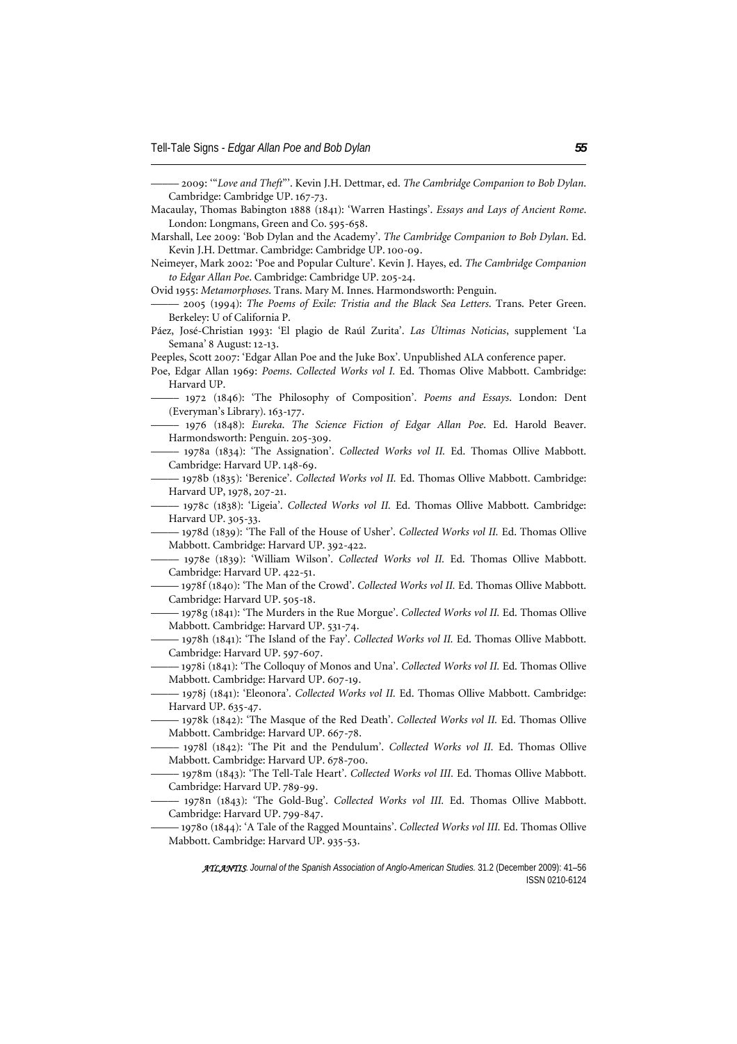Macaulay, Thomas Babington 1888 (1841): 'Warren Hastings'. *Essays and Lays of Ancient Rome*. London: Longmans, Green and Co. 595-658.

Ovid 1955: *Metamorphoses*. Trans. Mary M. Innes. Harmondsworth: Penguin.

Páez, José-Christian 1993: 'El plagio de Raúl Zurita'. *Las Últimas Noticias*, supplement 'La Semana' 8 August: 12-13.

Peeples, Scott 2007: 'Edgar Allan Poe and the Juke Box'. Unpublished ALA conference paper.

Poe, Edgar Allan 1969: *Poems*. *Collected Works vol I.* Ed. Thomas Olive Mabbott. Cambridge: Harvard UP.

- ––––– 1972 (1846): 'The Philosophy of Composition'. *Poems and Essays*. London: Dent (Everyman's Library). 163-177.
- ––––– 1976 (1848): *Eureka*. *The Science Fiction of Edgar Allan Poe*. Ed. Harold Beaver. Harmondsworth: Penguin. 205-309.

––––– 1978a (1834): 'The Assignation'. *Collected Works vol II.* Ed. Thomas Ollive Mabbott. Cambridge: Harvard UP. 148-69.

- ––––– 1978b (1835): 'Berenice'. *Collected Works vol II.* Ed. Thomas Ollive Mabbott. Cambridge: Harvard UP, 1978, 207-21.
- ––––– 1978c (1838): 'Ligeia'. *Collected Works vol II.* Ed. Thomas Ollive Mabbott. Cambridge: Harvard UP. 305-33.
- ––––– 1978d (1839): 'The Fall of the House of Usher'. *Collected Works vol II.* Ed. Thomas Ollive Mabbott. Cambridge: Harvard UP. 392-422.
- ––––– 1978e (1839): 'William Wilson'. *Collected Works vol II.* Ed. Thomas Ollive Mabbott. Cambridge: Harvard UP. 422-51.
- ––––– 1978f (1840): 'The Man of the Crowd'. *Collected Works vol II.* Ed. Thomas Ollive Mabbott. Cambridge: Harvard UP. 505-18.
- ––––– 1978g (1841): 'The Murders in the Rue Morgue'. *Collected Works vol II.* Ed. Thomas Ollive Mabbott. Cambridge: Harvard UP. 531-74.
- ––––– 1978h (1841): 'The Island of the Fay'. *Collected Works vol II.* Ed. Thomas Ollive Mabbott. Cambridge: Harvard UP. 597-607.
- ––––– 1978i (1841): 'The Colloquy of Monos and Una'. *Collected Works vol II.* Ed. Thomas Ollive Mabbott. Cambridge: Harvard UP. 607-19.
- ––––– 1978j (1841): 'Eleonora'. *Collected Works vol II.* Ed. Thomas Ollive Mabbott. Cambridge: Harvard UP. 635-47.
- ––––– 1978k (1842): 'The Masque of the Red Death'. *Collected Works vol II.* Ed. Thomas Ollive Mabbott. Cambridge: Harvard UP. 667-78.
- ––––– 1978l (1842): 'The Pit and the Pendulum'. *Collected Works vol II.* Ed. Thomas Ollive Mabbott. Cambridge: Harvard UP. 678-700.

- ––––– 1978n (1843): 'The Gold-Bug'. *Collected Works vol III.* Ed. Thomas Ollive Mabbott. Cambridge: Harvard UP. 799-847.
- ––––– 1978o (1844): 'A Tale of the Ragged Mountains'. *Collected Works vol III.* Ed. Thomas Ollive Mabbott. Cambridge: Harvard UP. 935-53.

<sup>––––– 2009: &#</sup>x27;"*Love and Theft*"'. Kevin J.H. Dettmar, ed. *The Cambridge Companion to Bob Dylan*. Cambridge: Cambridge UP. 167-73.

Marshall, Lee 2009: 'Bob Dylan and the Academy'. *The Cambridge Companion to Bob Dylan*. Ed. Kevin J.H. Dettmar. Cambridge: Cambridge UP. 100-09.

Neimeyer, Mark 2002: 'Poe and Popular Culture'. Kevin J. Hayes, ed. *The Cambridge Companion to Edgar Allan Poe*. Cambridge: Cambridge UP. 205-24.

<sup>––––– 2005 (1994):</sup> *The Poems of Exile: Tristia and the Black Sea Letters*. Trans. Peter Green. Berkeley: U of California P.

<sup>––––– 1978</sup>m (1843): 'The Tell-Tale Heart'. *Collected Works vol III.* Ed. Thomas Ollive Mabbott. Cambridge: Harvard UP. 789-99.